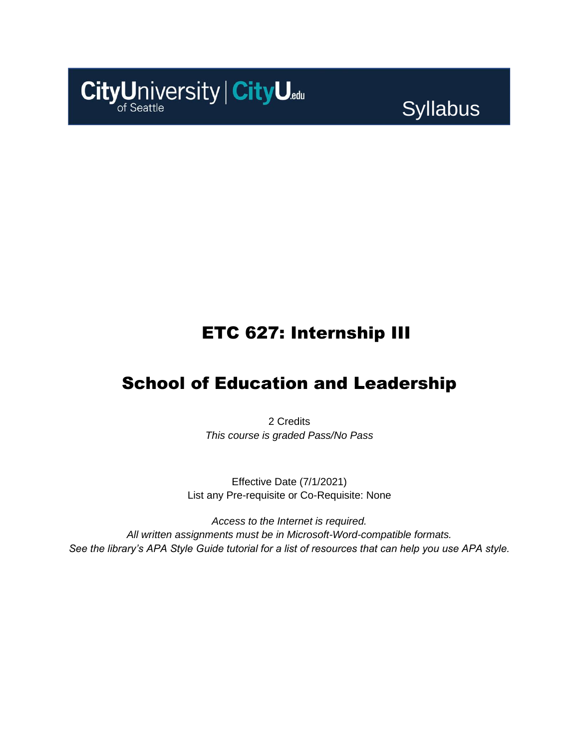

**Syllabus** 

### ETC 627: Internship III

### School of Education and Leadership

2 Credits *This course is graded Pass/No Pass*

Effective Date (7/1/2021) List any Pre-requisite or Co-Requisite: None

*Access to the Internet is required. All written assignments must be in Microsoft-Word-compatible formats. See the library's APA Style Guide tutorial for a list of resources that can help you use APA style.*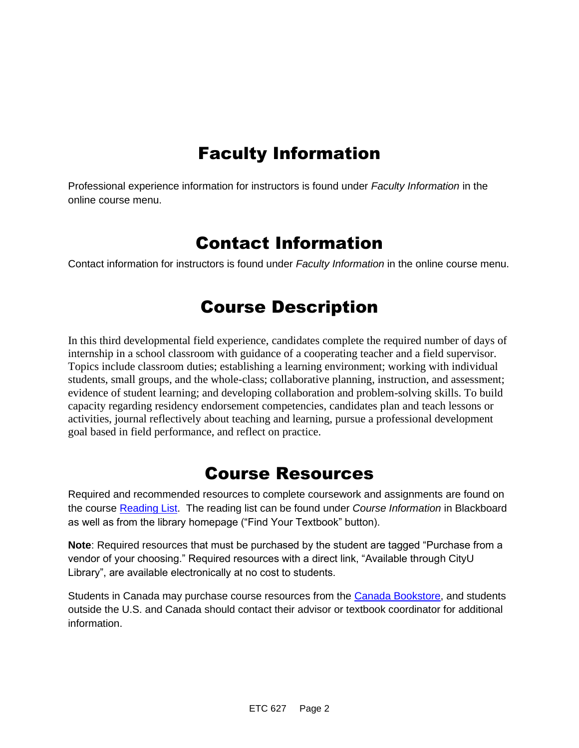# Faculty Information

Professional experience information for instructors is found under *Faculty Information* in the online course menu.

### Contact Information

Contact information for instructors is found under *Faculty Information* in the online course menu.

# Course Description

In this third developmental field experience, candidates complete the required number of days of internship in a school classroom with guidance of a cooperating teacher and a field supervisor. Topics include classroom duties; establishing a learning environment; working with individual students, small groups, and the whole-class; collaborative planning, instruction, and assessment; evidence of student learning; and developing collaboration and problem-solving skills. To build capacity regarding residency endorsement competencies, candidates plan and teach lessons or activities, journal reflectively about teaching and learning, pursue a professional development goal based in field performance, and reflect on practice.

### Course Resources

Required and recommended resources to complete coursework and assignments are found on the course [Reading List.](https://cityu.alma.exlibrisgroup.com/leganto/login?auth=SAML) The reading list can be found under *Course Information* in Blackboard as well as from the library homepage ("Find Your Textbook" button).

**Note**: Required resources that must be purchased by the student are tagged "Purchase from a vendor of your choosing." Required resources with a direct link, "Available through CityU Library", are available electronically at no cost to students.

Students in Canada may purchase course resources from the [Canada Bookstore,](https://www.cityubookstore.ca/index.asp) and students outside the U.S. and Canada should contact their advisor or textbook coordinator for additional information.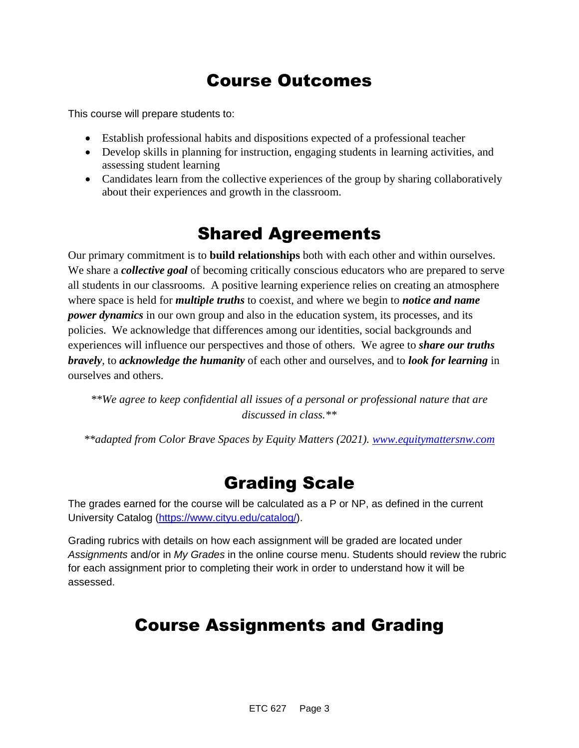# Course Outcomes

This course will prepare students to:

- Establish professional habits and dispositions expected of a professional teacher
- Develop skills in planning for instruction, engaging students in learning activities, and assessing student learning
- Candidates learn from the collective experiences of the group by sharing collaboratively about their experiences and growth in the classroom.

### Shared Agreements

Our primary commitment is to **build relationships** both with each other and within ourselves. We share a *collective goal* of becoming critically conscious educators who are prepared to serve all students in our classrooms. A positive learning experience relies on creating an atmosphere where space is held for *multiple truths* to coexist, and where we begin to *notice and name power dynamics* in our own group and also in the education system, its processes, and its policies. We acknowledge that differences among our identities, social backgrounds and experiences will influence our perspectives and those of others*.* We agree to *share our truths bravely*, to *acknowledge the humanity* of each other and ourselves, and to *look for learning* in ourselves and others.

*\*\*We agree to keep confidential all issues of a personal or professional nature that are discussed in class.\*\**

*\*\*adapted from Color Brave Spaces by Equity Matters (2021). [www.equitymattersnw.com](http://www.equitymattersnw.com/)*

### Grading Scale

The grades earned for the course will be calculated as a P or NP, as defined in the current University Catalog [\(https://www.cityu.edu/catalog/\)](https://www.cityu.edu/catalog/).

Grading rubrics with details on how each assignment will be graded are located under *Assignments* and/or in *My Grades* in the online course menu. Students should review the rubric for each assignment prior to completing their work in order to understand how it will be assessed.

# Course Assignments and Grading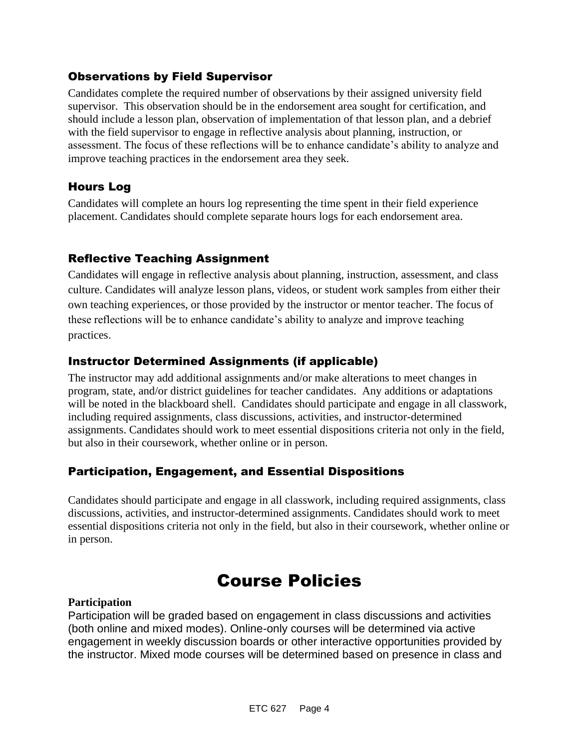### Observations by Field Supervisor

Candidates complete the required number of observations by their assigned university field supervisor. This observation should be in the endorsement area sought for certification, and should include a lesson plan, observation of implementation of that lesson plan, and a debrief with the field supervisor to engage in reflective analysis about planning, instruction, or assessment. The focus of these reflections will be to enhance candidate's ability to analyze and improve teaching practices in the endorsement area they seek.

### Hours Log

Candidates will complete an hours log representing the time spent in their field experience placement. Candidates should complete separate hours logs for each endorsement area.

### Reflective Teaching Assignment

Candidates will engage in reflective analysis about planning, instruction, assessment, and class culture. Candidates will analyze lesson plans, videos, or student work samples from either their own teaching experiences, or those provided by the instructor or mentor teacher. The focus of these reflections will be to enhance candidate's ability to analyze and improve teaching practices.

### Instructor Determined Assignments (if applicable)

The instructor may add additional assignments and/or make alterations to meet changes in program, state, and/or district guidelines for teacher candidates. Any additions or adaptations will be noted in the blackboard shell. Candidates should participate and engage in all classwork, including required assignments, class discussions, activities, and instructor-determined assignments. Candidates should work to meet essential dispositions criteria not only in the field, but also in their coursework, whether online or in person.

### Participation, Engagement, and Essential Dispositions

Candidates should participate and engage in all classwork, including required assignments, class discussions, activities, and instructor-determined assignments. Candidates should work to meet essential dispositions criteria not only in the field, but also in their coursework, whether online or in person.

# Course Policies

#### **Participation**

Participation will be graded based on engagement in class discussions and activities (both online and mixed modes). Online-only courses will be determined via active engagement in weekly discussion boards or other interactive opportunities provided by the instructor. Mixed mode courses will be determined based on presence in class and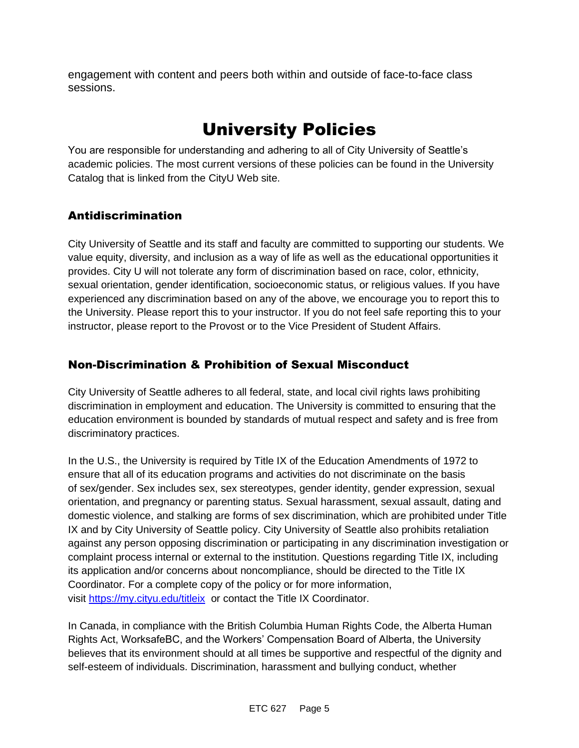engagement with content and peers both within and outside of face-to-face class sessions.

# University Policies

You are responsible for understanding and adhering to all of City University of Seattle's academic policies. The most current versions of these policies can be found in the University Catalog that is linked from the CityU Web site.

### Antidiscrimination

City University of Seattle and its staff and faculty are committed to supporting our students. We value equity, diversity, and inclusion as a way of life as well as the educational opportunities it provides. City U will not tolerate any form of discrimination based on race, color, ethnicity, sexual orientation, gender identification, socioeconomic status, or religious values. If you have experienced any discrimination based on any of the above, we encourage you to report this to the University. Please report this to your instructor. If you do not feel safe reporting this to your instructor, please report to the Provost or to the Vice President of Student Affairs.

### Non-Discrimination & Prohibition of Sexual Misconduct

City University of Seattle adheres to all federal, state, and local civil rights laws prohibiting discrimination in employment and education. The University is committed to ensuring that the education environment is bounded by standards of mutual respect and safety and is free from discriminatory practices.

In the U.S., the University is required by Title IX of the Education Amendments of 1972 to ensure that all of its education programs and activities do not discriminate on the basis of sex/gender. Sex includes sex, sex stereotypes, gender identity, gender expression, sexual orientation, and pregnancy or parenting status. Sexual harassment, sexual assault, dating and domestic violence, and stalking are forms of sex discrimination, which are prohibited under Title IX and by City University of Seattle policy. City University of Seattle also prohibits retaliation against any person opposing discrimination or participating in any discrimination investigation or complaint process internal or external to the institution. Questions regarding Title IX, including its application and/or concerns about noncompliance, should be directed to the Title IX Coordinator. For a complete copy of the policy or for more information, visit [https://my.cityu.edu/titleix](https://nam11.safelinks.protection.outlook.com/?url=https%3A%2F%2Fmy.cityu.edu%2Ftitleix&data=04%7C01%7Claker%40cityu.edu%7Cbc558c70c10340dbaa2408d9172365a0%7Cb3fa96d9f5154662add763d854e39e63%7C1%7C0%7C637566263054321964%7CUnknown%7CTWFpbGZsb3d8eyJWIjoiMC4wLjAwMDAiLCJQIjoiV2luMzIiLCJBTiI6Ik1haWwiLCJXVCI6Mn0%3D%7C1000&sdata=GX0hgfxN2OMKFTKjD04gqvwwyU44mfnCmEdCtsEzab0%3D&reserved=0) or contact the Title IX Coordinator.

In Canada, in compliance with the British Columbia Human Rights Code, the Alberta Human Rights Act, WorksafeBC, and the Workers' Compensation Board of Alberta, the University believes that its environment should at all times be supportive and respectful of the dignity and self-esteem of individuals. Discrimination, harassment and bullying conduct, whether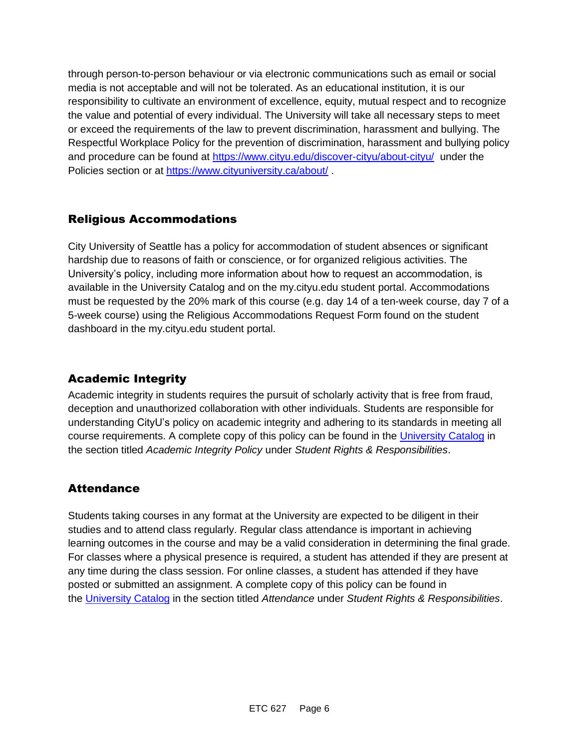through person-to-person behaviour or via electronic communications such as email or social media is not acceptable and will not be tolerated. As an educational institution, it is our responsibility to cultivate an environment of excellence, equity, mutual respect and to recognize the value and potential of every individual. The University will take all necessary steps to meet or exceed the requirements of the law to prevent discrimination, harassment and bullying. The Respectful Workplace Policy for the prevention of discrimination, harassment and bullying policy and procedure can be found at [https://www.cityu.edu/discover-cityu/about-cityu/](https://nam11.safelinks.protection.outlook.com/?url=https%3A%2F%2Fwww.cityu.edu%2Fdiscover-cityu%2Fabout-cityu%2F&data=04%7C01%7Claker%40cityu.edu%7Cbc558c70c10340dbaa2408d9172365a0%7Cb3fa96d9f5154662add763d854e39e63%7C1%7C0%7C637566263054331957%7CUnknown%7CTWFpbGZsb3d8eyJWIjoiMC4wLjAwMDAiLCJQIjoiV2luMzIiLCJBTiI6Ik1haWwiLCJXVCI6Mn0%3D%7C1000&sdata=7Q6QoqwuNLfeOJPewViWSeIwRIBy%2BoqDOiP8xSHYm78%3D&reserved=0) under the Policies section or at [https://www.cityuniversity.ca/about/](https://nam11.safelinks.protection.outlook.com/?url=https%3A%2F%2Fwww.cityuniversity.ca%2Fabout%2F&data=04%7C01%7Claker%40cityu.edu%7Cbc558c70c10340dbaa2408d9172365a0%7Cb3fa96d9f5154662add763d854e39e63%7C1%7C0%7C637566263054331957%7CUnknown%7CTWFpbGZsb3d8eyJWIjoiMC4wLjAwMDAiLCJQIjoiV2luMzIiLCJBTiI6Ik1haWwiLCJXVCI6Mn0%3D%7C1000&sdata=TX6bXEiU0CC6hC1mrTnKpuJywbR06qAj7RMu8QC4RUA%3D&reserved=0)

#### Religious Accommodations

City University of Seattle has a policy for accommodation of student absences or significant hardship due to reasons of faith or conscience, or for organized religious activities. The University's policy, including more information about how to request an accommodation, is available in the University Catalog and on the my.cityu.edu student portal. Accommodations must be requested by the 20% mark of this course (e.g. day 14 of a ten-week course, day 7 of a 5-week course) using the Religious Accommodations Request Form found on the student dashboard in the my.cityu.edu student portal.

### Academic Integrity

Academic integrity in students requires the pursuit of scholarly activity that is free from fraud, deception and unauthorized collaboration with other individuals. Students are responsible for understanding CityU's policy on academic integrity and adhering to its standards in meeting all course requirements. A complete copy of this policy can be found in the [University Catalog](https://nam11.safelinks.protection.outlook.com/?url=http%3A%2F%2Fwww.cityu.edu%2Fcatalog%2F&data=04%7C01%7Claker%40cityu.edu%7Cbc558c70c10340dbaa2408d9172365a0%7Cb3fa96d9f5154662add763d854e39e63%7C1%7C0%7C637566263054341952%7CUnknown%7CTWFpbGZsb3d8eyJWIjoiMC4wLjAwMDAiLCJQIjoiV2luMzIiLCJBTiI6Ik1haWwiLCJXVCI6Mn0%3D%7C1000&sdata=aL6fsSyLtVzJgdrlE9PtZXb%2F3H6wCdrvPcw4zOoEYTI%3D&reserved=0) in the section titled *Academic Integrity Policy* under *Student Rights & Responsibilities*.

#### **Attendance**

Students taking courses in any format at the University are expected to be diligent in their studies and to attend class regularly. Regular class attendance is important in achieving learning outcomes in the course and may be a valid consideration in determining the final grade. For classes where a physical presence is required, a student has attended if they are present at any time during the class session. For online classes, a student has attended if they have posted or submitted an assignment. A complete copy of this policy can be found in the [University Catalog](https://nam11.safelinks.protection.outlook.com/?url=http%3A%2F%2Fwww.cityu.edu%2Fcatalog%2F&data=04%7C01%7Claker%40cityu.edu%7Cbc558c70c10340dbaa2408d9172365a0%7Cb3fa96d9f5154662add763d854e39e63%7C1%7C0%7C637566263054341952%7CUnknown%7CTWFpbGZsb3d8eyJWIjoiMC4wLjAwMDAiLCJQIjoiV2luMzIiLCJBTiI6Ik1haWwiLCJXVCI6Mn0%3D%7C1000&sdata=aL6fsSyLtVzJgdrlE9PtZXb%2F3H6wCdrvPcw4zOoEYTI%3D&reserved=0) in the section titled *Attendance* under *Student Rights & Responsibilities*.